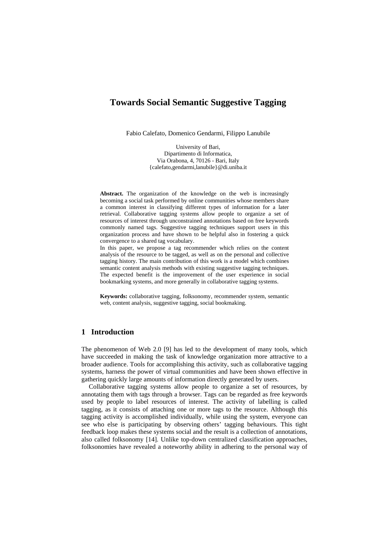# **Towards Social Semantic Suggestive Tagging**

Fabio Calefato, Domenico Gendarmi, Filippo Lanubile

University of Bari, Dipartimento di Informatica, Via Orabona, 4, 70126 - Bari, Italy {calefato,gendarmi,lanubile}@di.uniba.it

**Abstract.** The organization of the knowledge on the web is increasingly becoming a social task performed by online communities whose members share a common interest in classifying different types of information for a later retrieval. Collaborative tagging systems allow people to organize a set of resources of interest through unconstrained annotations based on free keywords commonly named tags. Suggestive tagging techniques support users in this organization process and have shown to be helpful also in fostering a quick convergence to a shared tag vocabulary.

In this paper, we propose a tag recommender which relies on the content analysis of the resource to be tagged, as well as on the personal and collective tagging history. The main contribution of this work is a model which combines semantic content analysis methods with existing suggestive tagging techniques. The expected benefit is the improvement of the user experience in social bookmarking systems, and more generally in collaborative tagging systems.

**Keywords:** collaborative tagging, folksonomy, recommender system, semantic web, content analysis, suggestive tagging, social bookmaking.

## **1 Introduction**

The phenomenon of Web 2.0 [[9\]](#page-8-0) has led to the development of many tools, which have succeeded in making the task of knowledge organization more attractive to a broader audience. Tools for accomplishing this activity, such as collaborative tagging systems, harness the power of virtual communities and have been shown effective in gathering quickly large amounts of information directly generated by users.

Collaborative tagging systems allow people to organize a set of resources, by annotating them with tags through a browser. Tags can be regarded as free keywords used by people to label resources of interest. The activity of labelling is called tagging, as it consists of attaching one or more tags to the resource. Although this tagging activity is accomplished individually, while using the system, everyone can see who else is participating by observing others' tagging behaviours. This tight feedback loop makes these systems social and the result is a collection of annotations, also called folksonomy [[14\]](#page-8-1). Unlike top-down centralized classification approaches, folksonomies have revealed a noteworthy ability in adhering to the personal way of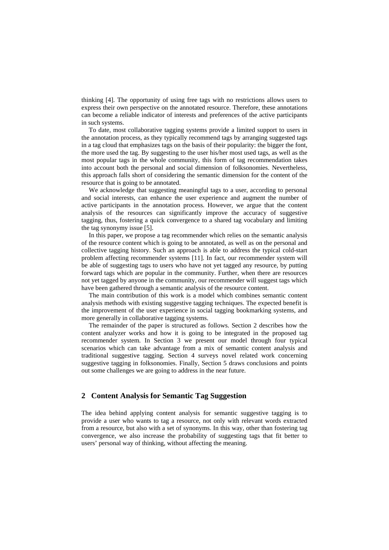thinking [\[4](#page-8-2)]. The opportunity of using free tags with no restrictions allows users to express their own perspective on the annotated resource. Therefore, these annotations can become a reliable indicator of interests and preferences of the active participants in such systems.

To date, most collaborative tagging systems provide a limited support to users in the annotation process, as they typically recommend tags by arranging suggested tags in a tag cloud that emphasizes tags on the basis of their popularity: the bigger the font, the more used the tag. By suggesting to the user his/her most used tags, as well as the most popular tags in the whole community, this form of tag recommendation takes into account both the personal and social dimension of folksonomies. Nevertheless, this approach falls short of considering the semantic dimension for the content of the resource that is going to be annotated.

We acknowledge that suggesting meaningful tags to a user, according to personal and social interests, can enhance the user experience and augment the number of active participants in the annotation process. However, we argue that the content analysis of the resources can significantly improve the accuracy of suggestive tagging, thus, fostering a quick convergence to a shared tag vocabulary and limiting the tag synonymy issue [\[5](#page-8-3)].

In this paper, we propose a tag recommender which relies on the semantic analysis of the resource content which is going to be annotated, as well as on the personal and collective tagging history. Such an approach is able to address the typical cold-start problem affecting recommender systems [\[11](#page-8-4)]. In fact, our recommender system will be able of suggesting tags to users who have not yet tagged any resource, by putting forward tags which are popular in the community. Further, when there are resources not yet tagged by anyone in the community, our recommender will suggest tags which have been gathered through a semantic analysis of the resource content.

The main contribution of this work is a model which combines semantic content analysis methods with existing suggestive tagging techniques. The expected benefit is the improvement of the user experience in social tagging bookmarking systems, and more generally in collaborative tagging systems.

The remainder of the paper is structured as follows. Section 2 describes how the content analyzer works and how it is going to be integrated in the proposed tag recommender system. In Section 3 we present our model through four typical scenarios which can take advantage from a mix of semantic content analysis and traditional suggestive tagging. Section 4 surveys novel related work concerning suggestive tagging in folksonomies. Finally, Section 5 draws conclusions and points out some challenges we are going to address in the near future.

## **2 Content Analysis for Semantic Tag Suggestion**

The idea behind applying content analysis for semantic suggestive tagging is to provide a user who wants to tag a resource, not only with relevant words extracted from a resource, but also with a set of synonyms. In this way, other than fostering tag convergence, we also increase the probability of suggesting tags that fit better to users' personal way of thinking, without affecting the meaning.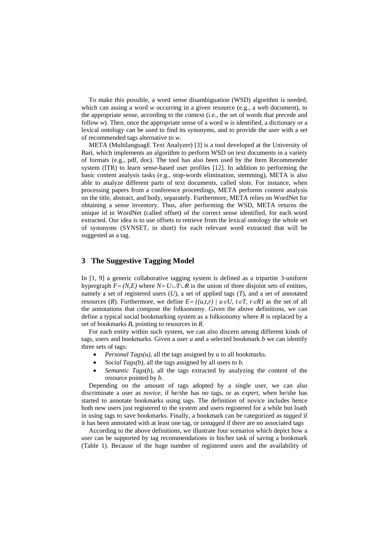To make this possible, a word sense disambiguation (WSD) algorithm is needed, which can assing a word *w* occurring in a given resource (e.g., a web document), to the appropriate sense, according to the context (i.e., the set of words that precede and follow *w*). Then, once the appropriate sense of a word *w* is identified, a dictionary or a lexical ontology can be used to find its synonyms, and to provide the user with a set of recommended tags alternative to *w*.

META (MultilanguagE Text Analyzer) [\[3](#page-8-5)] is a tool developed at the University of Bari, which implements an algorithm to perform WSD on text documents in a variety of formats (e.g., pdf, doc). The tool has also been used by the Item Recommender system (ITR) to learn sense-based user profiles [\[12\]](#page-8-6). In addition to performing the basic content analysis tasks (e.g., stop-words elimination, stemming), META is also able to analyze different parts of text documents, called slots. For instance, when processing papers from a conference proceedings, META performs content analysis on the title, abstract, and body, separately. Furthermore, META relies on WordNet for obtaining a sense inventory. Thus, after performing the WSD, META returns the unique id in WordNet (called offset) of the correct sense identified, for each word extracted. Our idea is to use offsets to retrieve from the lexical ontology the whole set of synonyms (SYNSET, in short) for each relevant word extracted that will be suggested as a tag.

## **3 The Suggestive Tagging Model**

In [\[1](#page-8-7), [9\]](#page-8-0) a generic collaborative tagging system is defined as a tripartite 3-uniform hypergraph  $F = (N,E)$  where  $N = U \cup T \cup R$  is the union of three disjoint sets of entities, namely a set of registered users (*U*), a set of applied tags (*T*), and a set of annotated resources (*R*). Furthermore, we define  $E = \{(u,t,r) | u \in U, t \in T, r \in R\}$  as the set of all the annotations that compose the folksonomy. Given the above definitions, we can define a typical social bookmarking system as a folksonomy where *R* is replaced by a set of bookmarks *B*, pointing to resources in *R*.

For each entity within such system, we can also discern among different kinds of tags, users and bookmarks. Given a user *u* and a selected bookmark *b* we can identify three sets of tags:

- *Personal Tags(u),* all the tags assigned by *u* to all bookmarks.
- *Social Tags(b),* all the tags assigned by all users to *b*.
- *Semantic Tags(b)*, all the tags extracted by analyzing the content of the resource pointed by *b*.

Depending on the amount of tags adopted by a single user, we can also discriminate a user as *novice*, if he/she has no tags, or as *expert*, when he/she has started to annotate bookmarks using tags. The definition of novice includes hence both new users just registered to the system and users registered for a while but loath in using tags to save bookmarks. Finally, a bookmark can be categorized as *tagged* if it has been annotated with at least one tag, or *untagged* if there are no associated tags

According to the above definitions, we illustrate four scenarios which depict how a user can be supported by tag recommendations in his/her task of saving a bookmark [\(Table 1](#page-3-0)). Because of the huge number of registered users and the availability of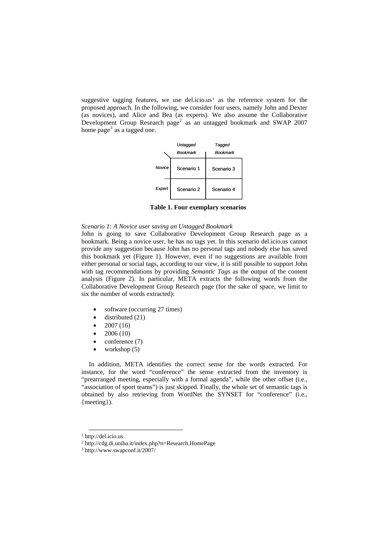suggestive tagging features, we use del.icio.us<sup>[1](#page-3-1)</sup> as the reference system for the proposed approach. In the following, we consider four users, namely John and Dexter (as novices), and Alice and Bea (as experts). We also assume the Collaborative Development Group Research page<sup>[2](#page-3-2)</sup> as an untagged bookmark and SWAP 2007 home page<sup>[3](#page-3-3)</sup> as a tagged one.



**Table 1. Four exemplary scenarios** 

#### <span id="page-3-0"></span>*Scenario 1: A Novice user saving an Untagged Bookmark*

John is going to save Collaborative Development Group Research page as a bookmark. Being a novice user, he has no tags yet. In this scenario del.icio.us cannot provide any suggestion because John has no personal tags and nobody else has saved this bookmark yet ([Figure 1\)](#page-4-0). However, even if no suggestions are available from either personal or social tags, according to our view, it is still possible to support John with tag recommendations by providing *Semantic Tags* as the output of the content analysis ([Figure 2\)](#page-4-1). In particular, META extracts the following words from the Collaborative Development Group Research page (for the sake of space, we limit to six the number of words extracted):

- software (occurring 27 times)
- $\bullet$  distributed (21)
- $2007(16)$
- 2006 (10)
- conference (7)
- workshop (5)

In addition, META identifies the correct sense for the words extracted. For instance, for the word "conference" the sense extracted from the inventory is "prearranged meeting, especially with a formal agenda", while the other offset (i.e., "association of sport teams") is just skipped. Finally, the whole set of semantic tags is obtained by also retrieving from WordNet the SYNSET for "conference" (i.e., {meeting}).

 <sup>1</sup> http://del.icio.us

<span id="page-3-3"></span><span id="page-3-2"></span><span id="page-3-1"></span> $^2$ http://cdg.di.uniba.it/index.php?n=Research.HomePage $^3$ http://www.swapconf.it/2007/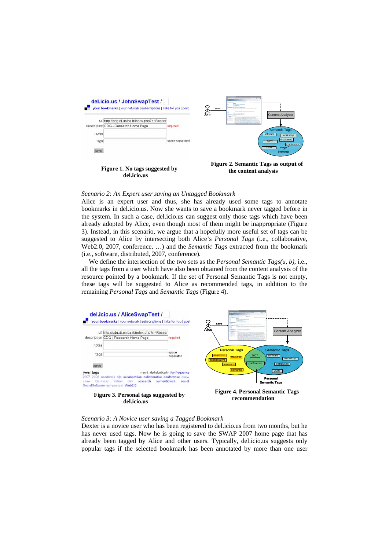

<span id="page-4-1"></span><span id="page-4-0"></span>*Scenario 2: An Expert user saving an Untagged Bookmark* 

Alice is an expert user and thus, she has already used some tags to annotate bookmarks in del.icio.us. Now she wants to save a bookmark never tagged before in the system. In such a case, del.icio.us can suggest only those tags which have been already adopted by Alice, even though most of them might be inappropriate [\(Figure](#page-4-2)  [3\)](#page-4-2). Instead, in this scenario, we argue that a hopefully more useful set of tags can be suggested to Alice by intersecting both Alice's *Personal Tags* (i.e., collaborative, Web2.0, 2007, conference, …) and the *Semantic Tags* extracted from the bookmark (i.e., software, distributed, 2007, conference).

We define the intersection of the two sets as the *Personal Semantic Tags(u, b)*, i.e., all the tags from a user which have also been obtained from the content analysis of the resource pointed by a bookmark. If the set of Personal Semantic Tags is not empty, these tags will be suggested to Alice as recommended tags, in addition to the remaining *Personal Tags* and *Semantic Tags* ([Figure 4](#page-4-3)).



<span id="page-4-3"></span><span id="page-4-2"></span>*Scenario 3: A Novice user saving a Tagged Bookmark* 

Dexter is a novice user who has been registered to del.icio.us from two months, but he has never used tags. Now he is going to save the SWAP 2007 home page that has already been tagged by Alice and other users. Typically, del.icio.us suggests only popular tags if the selected bookmark has been annotated by more than one user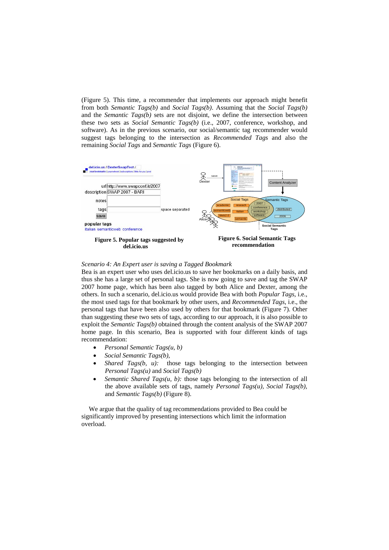[\(Figure 5](#page-5-0)). This time, a recommender that implements our approach might benefit from both *Semantic Tags(b)* and *Social Tags(b)*. Assuming that the *Social Tags(b)* and the *Semantic Tags(b)* sets are not disjoint, we define the intersection between these two sets as *Social Semantic Tags(b)* (i.e., 2007, conference, workshop, and software). As in the previous scenario, our social/semantic tag recommender would suggest tags belonging to the intersection as *Recommended Tags* and also the remaining *Social Tags* and *Semantic Tags* ([Figure 6](#page-5-1)).



#### <span id="page-5-1"></span><span id="page-5-0"></span>*Scenario 4: An Expert user is saving a Tagged Bookmark*

Bea is an expert user who uses del.icio.us to save her bookmarks on a daily basis, and thus she has a large set of personal tags. She is now going to save and tag the SWAP 2007 home page, which has been also tagged by both Alice and Dexter, among the others. In such a scenario, del.icio.us would provide Bea with both *Popular Tags*, i.e., the most used tags for that bookmark by other users, and *Recommended Tags*, i.e., the personal tags that have been also used by others for that bookmark ([Figure 7\)](#page-6-0). Other than suggesting these two sets of tags, according to our approach, it is also possible to exploit the *Semantic Tags(b)* obtained through the content analysis of the SWAP 2007 home page. In this scenario, Bea is supported with four different kinds of tags recommendation:

- *Personal Semantic Tags(u, b)*
- *Social Semantic Tags(b)*,
- *Shared Tags(b, u):* those tags belonging to the intersection between *Personal Tags(u)* and *Social Tags(b)*
- *Semantic Shared Tags(u, b):* those tags belonging to the intersection of all the above available sets of tags, namely *Personal Tags(u), Social Tags(b),*  and *Semantic Tags(b)* ([Figure 8](#page-6-1)).

We argue that the quality of tag recommendations provided to Bea could be significantly improved by presenting intersections which limit the information overload.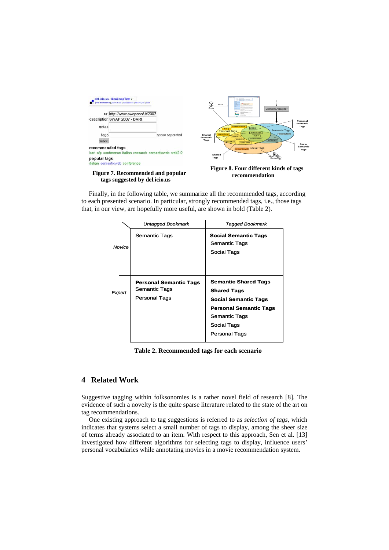

**Figure 7. Recommended and popular tags suggested by del.icio.us** 

**recommendation** 

<span id="page-6-1"></span><span id="page-6-0"></span>Finally, in the following table, we summarize all the recommended tags, according to each presented scenario. In particular, strongly recommended tags, i.e., those tags that, in our view, are hopefully more useful, are shown in bold (Table 2).

|        | Untagged Bookmark                                                      | Tagged Bookmark                                                                                                                                                           |
|--------|------------------------------------------------------------------------|---------------------------------------------------------------------------------------------------------------------------------------------------------------------------|
| Novice | Semantic Tags                                                          | <b>Social Semantic Tags</b><br><b>Semantic Tags</b><br>Social Tags                                                                                                        |
| Expert | <b>Personal Semantic Tags</b><br>Semantic Tags<br><b>Personal Tags</b> | <b>Semantic Shared Tags</b><br><b>Shared Tags</b><br><b>Social Semantic Tags</b><br><b>Personal Semantic Tags</b><br>Semantic Tags<br>Social Tags<br><b>Personal Tags</b> |

**Table 2. Recommended tags for each scenario** 

## **4 Related Work**

Suggestive tagging within folksonomies is a rather novel field of research [\[8](#page-8-8)]. The evidence of such a novelty is the quite sparse literature related to the state of the art on tag recommendations.

One existing approach to tag suggestions is referred to as *selection of tags,* which indicates that systems select a small number of tags to display, among the sheer size of terms already associated to an item. With respect to this approach, Sen et al. [\[13](#page-8-9)] investigated how different algorithms for selecting tags to display, influence users' personal vocabularies while annotating movies in a movie recommendation system.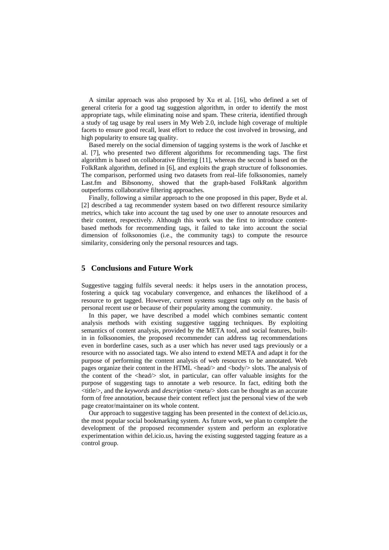A similar approach was also proposed by Xu et al. [[16](#page-8-10)], who defined a set of general criteria for a good tag suggestion algorithm, in order to identify the most appropriate tags, while eliminating noise and spam. These criteria, identified through a study of tag usage by real users in My Web 2.0, include high coverage of multiple facets to ensure good recall, least effort to reduce the cost involved in browsing, and high popularity to ensure tag quality.

Based merely on the social dimension of tagging systems is the work of Jaschke et al. [[7\]](#page-8-11), who presented two different algorithms for recommending tags. The first algorithm is based on collaborative filtering [\[11](#page-8-4)], whereas the second is based on the FolkRank algorithm, defined in [\[6](#page-8-12)], and exploits the graph structure of folksonomies. The comparison, performed using two datasets from real–life folksonomies, namely Last.fm and Bibsonomy, showed that the graph-based FolkRank algorithm outperforms collaborative filtering approaches.

Finally, following a similar approach to the one proposed in this paper, Byde et al. [\[2](#page-8-13)] described a tag recommender system based on two different resource similarity metrics, which take into account the tag used by one user to annotate resources and their content, respectively. Although this work was the first to introduce contentbased methods for recommending tags, it failed to take into account the social dimension of folksonomies (i.e., the community tags) to compute the resource similarity, considering only the personal resources and tags.

## **5 Conclusions and Future Work**

Suggestive tagging fulfils several needs: it helps users in the annotation process, fostering a quick tag vocabulary convergence, and enhances the likelihood of a resource to get tagged. However, current systems suggest tags only on the basis of personal recent use or because of their popularity among the community.

In this paper, we have described a model which combines semantic content analysis methods with existing suggestive tagging techniques. By exploiting semantics of content analysis, provided by the META tool, and social features, builtin in folksonomies, the proposed recommender can address tag recommendations even in borderline cases, such as a user which has never used tags previously or a resource with no associated tags. We also intend to extend META and adapt it for the purpose of performing the content analysis of web resources to be annotated. Web pages organize their content in the HTML <head/> and <br/> <br/>dody/> slots. The analysis of the content of the  $\langle \text{head} \rangle$  slot, in particular, can offer valuable insights for the purpose of suggesting tags to annotate a web resource. In fact, editing both the <title/>, and the *keywords* and *description* <meta/> slots can be thought as an accurate form of free annotation, because their content reflect just the personal view of the web page creator/maintainer on its whole content.

Our approach to suggestive tagging has been presented in the context of del.icio.us, the most popular social bookmarking system. As future work, we plan to complete the development of the proposed recommender system and perform an explorative experimentation within del.icio.us, having the existing suggested tagging feature as a control group.